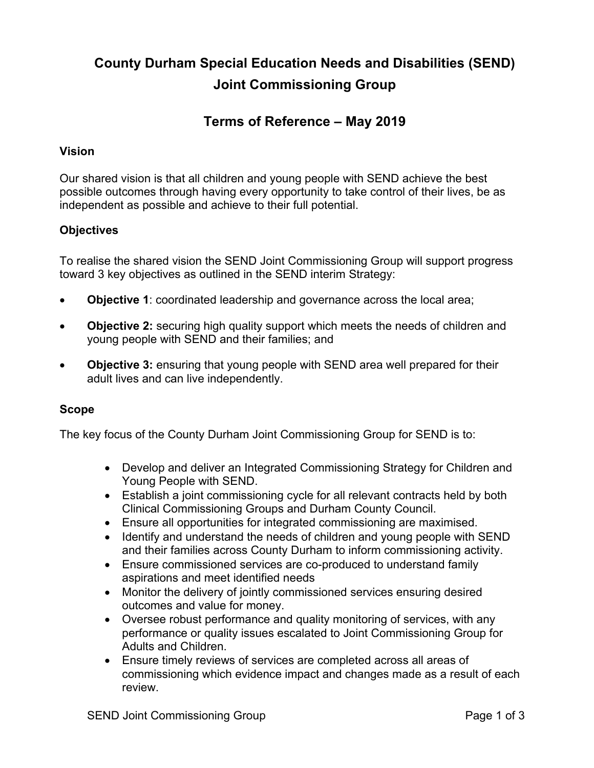# **County Durham Special Education Needs and Disabilities (SEND) Joint Commissioning Group**

## **Terms of Reference – May 2019**

#### **Vision**

Our shared vision is that all children and young people with SEND achieve the best possible outcomes through having every opportunity to take control of their lives, be as independent as possible and achieve to their full potential.

### **Objectives**

To realise the shared vision the SEND Joint Commissioning Group will support progress toward 3 key objectives as outlined in the SEND interim Strategy:

- **Objective 1**: coordinated leadership and governance across the local area;
- **Objective 2:** securing high quality support which meets the needs of children and young people with SEND and their families; and
- **Objective 3:** ensuring that young people with SEND area well prepared for their adult lives and can live independently.

#### **Scope**

The key focus of the County Durham Joint Commissioning Group for SEND is to:

- Develop and deliver an Integrated Commissioning Strategy for Children and Young People with SEND.
- Establish a joint commissioning cycle for all relevant contracts held by both Clinical Commissioning Groups and Durham County Council.
- Ensure all opportunities for integrated commissioning are maximised.
- Identify and understand the needs of children and young people with SEND and their families across County Durham to inform commissioning activity.
- Ensure commissioned services are co-produced to understand family aspirations and meet identified needs
- Monitor the delivery of jointly commissioned services ensuring desired outcomes and value for money.
- Oversee robust performance and quality monitoring of services, with any performance or quality issues escalated to Joint Commissioning Group for Adults and Children.
- Ensure timely reviews of services are completed across all areas of commissioning which evidence impact and changes made as a result of each review.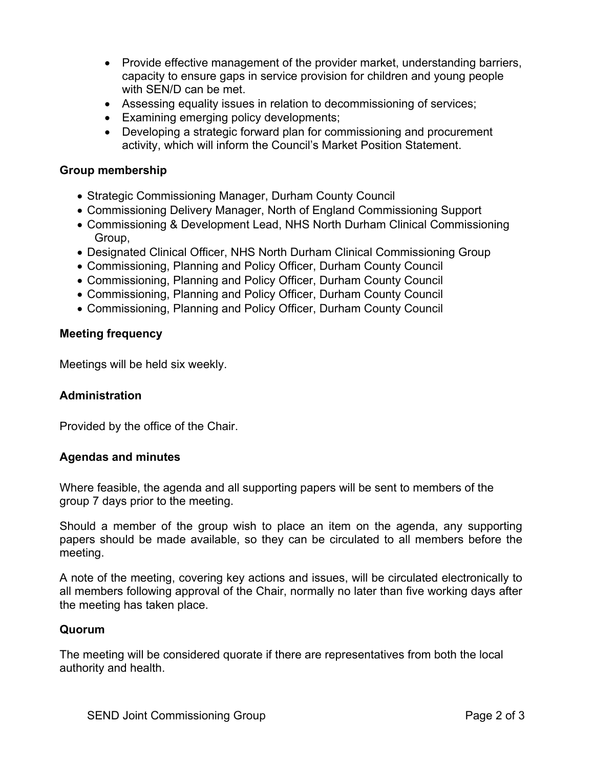- Provide effective management of the provider market, understanding barriers, capacity to ensure gaps in service provision for children and young people with SEN/D can be met.
- Assessing equality issues in relation to decommissioning of services;
- Examining emerging policy developments;
- Developing a strategic forward plan for commissioning and procurement activity, which will inform the Council's Market Position Statement.

#### **Group membership**

- Strategic Commissioning Manager, Durham County Council
- Commissioning Delivery Manager, North of England Commissioning Support
- Commissioning & Development Lead, NHS North Durham Clinical Commissioning Group,
- Designated Clinical Officer, NHS North Durham Clinical Commissioning Group
- Commissioning, Planning and Policy Officer, Durham County Council
- Commissioning, Planning and Policy Officer, Durham County Council
- Commissioning, Planning and Policy Officer, Durham County Council
- Commissioning, Planning and Policy Officer, Durham County Council

#### **Meeting frequency**

Meetings will be held six weekly.

#### **Administration**

Provided by the office of the Chair.

#### **Agendas and minutes**

Where feasible, the agenda and all supporting papers will be sent to members of the group 7 days prior to the meeting.

Should a member of the group wish to place an item on the agenda, any supporting papers should be made available, so they can be circulated to all members before the meeting.

A note of the meeting, covering key actions and issues, will be circulated electronically to all members following approval of the Chair, normally no later than five working days after the meeting has taken place.

#### **Quorum**

The meeting will be considered quorate if there are representatives from both the local authority and health.